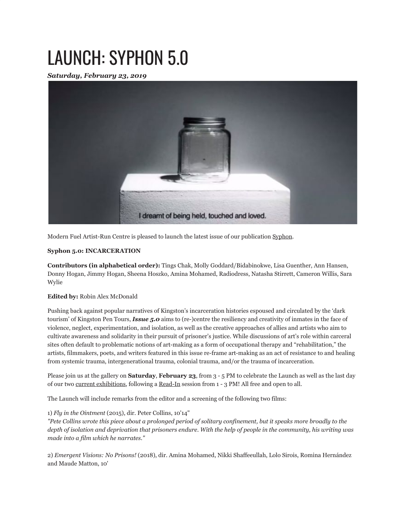## LAUNCH: SYPHON 5.0

*Saturday, February 23, 2019*



Modern Fuel Artist-Run Centre is pleased to launch the latest issue of our publication Syphon.

## **Syphon 5.0: INCARCERATION**

**Contributors (in alphabetical order):** Tings Chak, Molly Goddard/Bidabinokwe, Lisa Guenther, Ann Hansen, Donny Hogan, Jimmy Hogan, Sheena Hoszko, Amina Mohamed, Radiodress, Natasha Stirrett, Cameron Willis, Sara Wylie

## **Edited by:** Robin Alex McDonald

Pushing back against popular narratives of Kingston's incarceration histories espoused and circulated by the 'dark tourism' of Kingston Pen Tours, *Issue 5.0* aims to (re-)centre the resiliency and creativity of inmates in the face of violence, neglect, experimentation, and isolation, as well as the creative approaches of allies and artists who aim to cultivate awareness and solidarity in their pursuit of prisoner's justice. While discussions of art's role within carceral sites often default to problematic notions of art-making as a form of occupational therapy and "rehabilitation," the artists, filmmakers, poets, and writers featured in this issue re-frame art-making as an act of resistance to and healing from systemic trauma, intergenerational trauma, colonial trauma, and/or the trauma of incarceration.

Please join us at the gallery on **Saturday**, **February 23**, from 3 - 5 PM to celebrate the Launch as well as the last day of our two current exhibitions, following a Read-In session from 1 - 3 PM! All free and open to all.

The Launch will include remarks from the editor and a screening of the following two films:

## 1) *Fly in the Ointment* (2015), dir. Peter Collins, 10'14"

*"Pete Collins wrote this piece about a prolonged period of solitary confinement, but it speaks more broadly to the depth of isolation and deprivation that prisoners endure. With the help of people in the community, his writing was made into a film which he narrates."*

2) *Emergent Visions: No Prisons!* (2018), dir. Amina Mohamed, Nikki Shaffeeullah, Lolo Sirois, Romina Hernández and Maude Matton, 10'